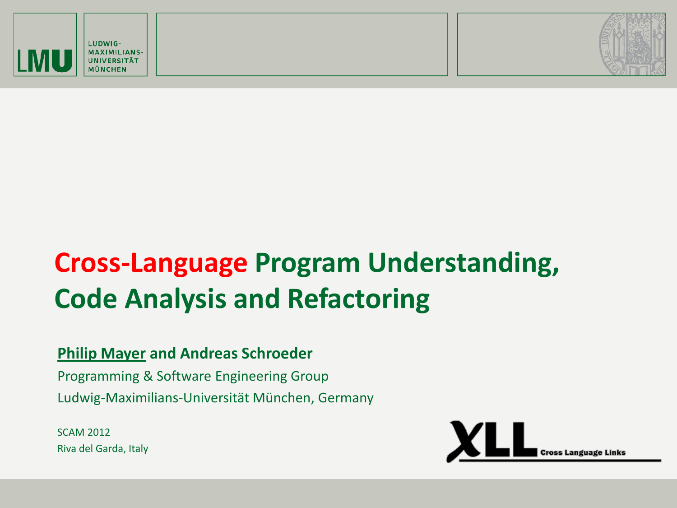





# **Cross-Language Program Understanding, Code Analysis and Refactoring**

#### **Philip Mayer and Andreas Schroeder**

Programming & Software Engineering Group Ludwig-Maximilians-Universität München, Germany

SCAM 2012 Riva del Garda, Italy

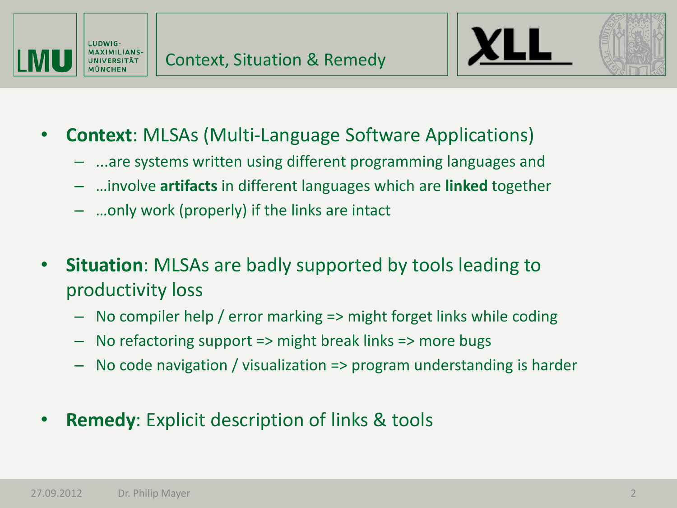



- **Context**: MLSAs (Multi-Language Software Applications)
	- ...are systems written using different programming languages and
	- …involve **artifacts** in different languages which are **linked** together
	- …only work (properly) if the links are intact
- **Situation**: MLSAs are badly supported by tools leading to productivity loss
	- No compiler help / error marking => might forget links while coding
	- No refactoring support => might break links => more bugs
	- No code navigation / visualization => program understanding is harder
- **Remedy**: Explicit description of links & tools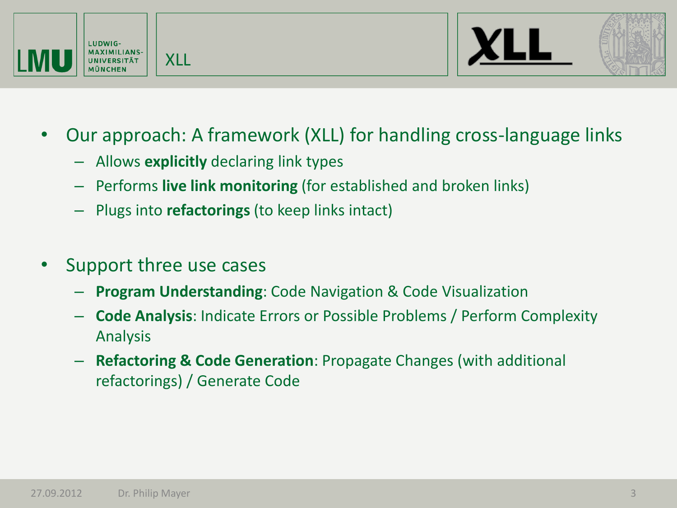



- Our approach: A framework (XLL) for handling cross-language links
	- Allows **explicitly** declaring link types

XLL

- Performs **live link monitoring** (for established and broken links)
- Plugs into **refactorings** (to keep links intact)
- Support three use cases
	- **Program Understanding**: Code Navigation & Code Visualization
	- **Code Analysis**: Indicate Errors or Possible Problems / Perform Complexity Analysis
	- **Refactoring & Code Generation**: Propagate Changes (with additional refactorings) / Generate Code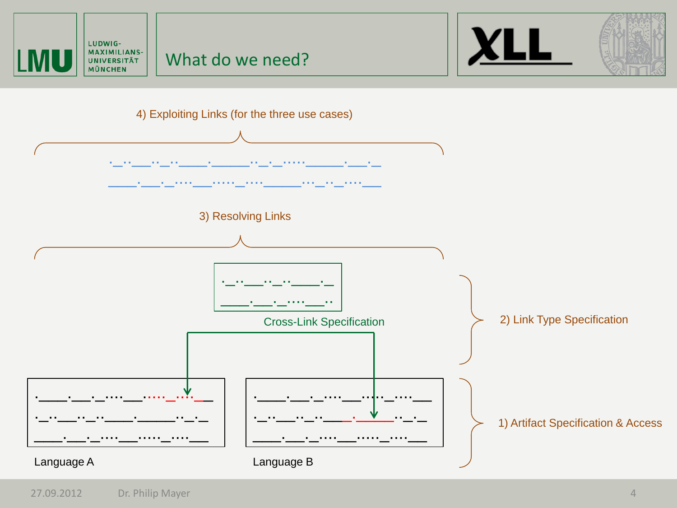

Language A **Language B**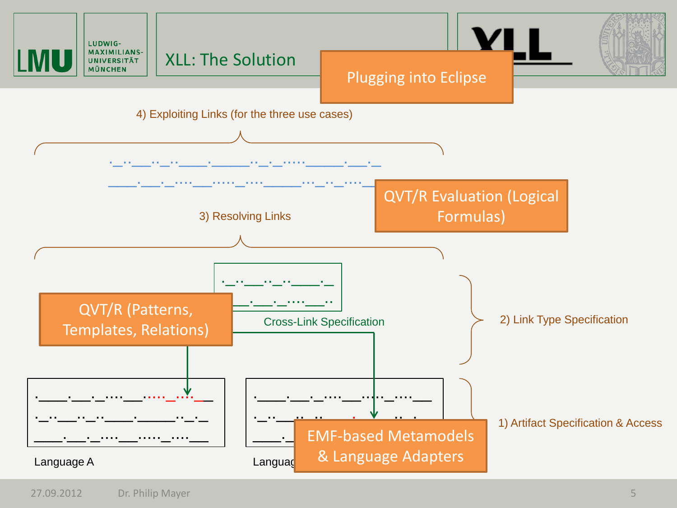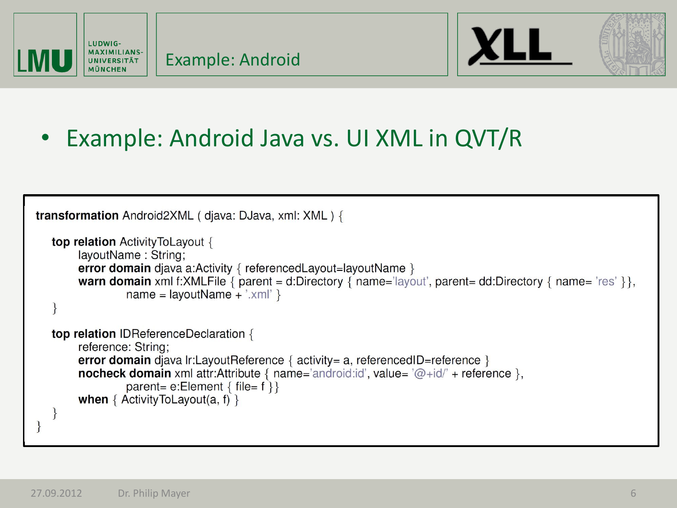



### • Example: Android Java vs. UI XML in QVT/R

```
transformation Android2XML (diava: DJava, xml: XML) {
top relation Activity To Layout {
     layoutName: String:
     error domain diava a:Activity { referencedLayout=layoutName }
     warn domain xml f:XMLFile { parent = d:Directory { name='layout', parent= dd:Directory { name='res' } },
              name = layoutName + 'xml'top relation IDReferenceDeclaration {
     reference: String;
     error domain diava Ir:LayoutReference { \arctan x activity= a, referenced ID=reference }
     nocheck domain xml attr:Attribute { name='android:id', value= \omega + id' + reference },
              parent= e:Element { file = f}}
     when \{ Activity ToLayout(a, f) \}
```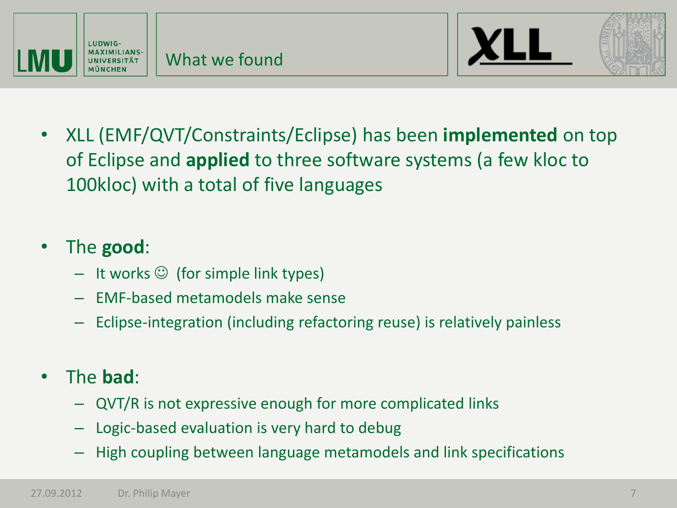



• XLL (EMF/QVT/Constraints/Eclipse) has been **implemented** on top of Eclipse and **applied** to three software systems (a few kloc to 100kloc) with a total of five languages

#### • The **good**:

- $-$  It works  $\odot$  (for simple link types)
- EMF-based metamodels make sense
- Eclipse-integration (including refactoring reuse) is relatively painless
- The **bad**:
	- QVT/R is not expressive enough for more complicated links
	- Logic-based evaluation is very hard to debug
	- High coupling between language metamodels and link specifications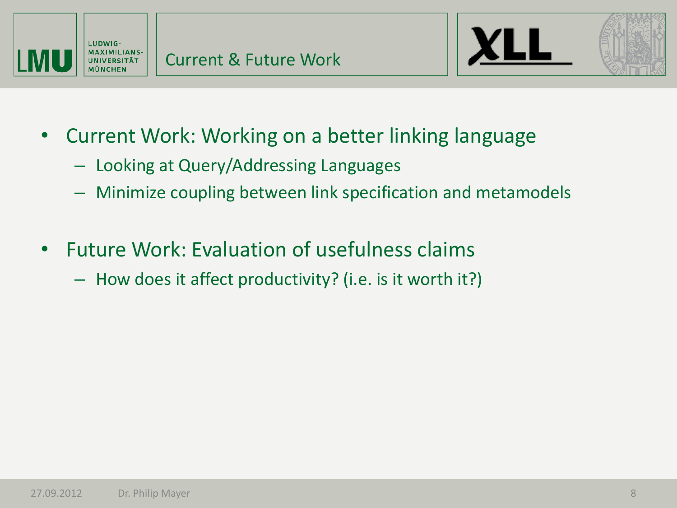



- Current Work: Working on a better linking language
	- Looking at Query/Addressing Languages
	- Minimize coupling between link specification and metamodels
- Future Work: Evaluation of usefulness claims
	- How does it affect productivity? (i.e. is it worth it?)